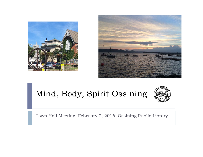



# Mind, Body, Spirit Ossining



Town Hall Meeting, February 2, 2016, Ossining Public Library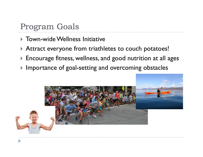#### Program Goals

- Town-wide Wellness Initiative
- **Attract everyone from triathletes to couch potatoes!**
- $\blacktriangleright$  Encourage fitness, wellness, and good nutrition at all ages
- $\blacktriangleright$  Importance of goal-setting and overcoming obstacles

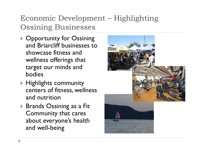#### Economic Development – Highlighting Ossining Businesses

- ▶ Opportunity for Ossining and Briarcliff businesses to showcase fitness and wellness offerings that target our minds and bodies
- $\blacktriangleright$  Highlights community centers of fitness, wellness and nutrition
- ▶ Brands Ossining as a Fit Community that cares about everyone's health and well -being

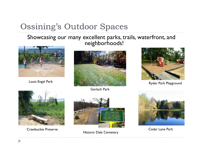# Ossining's Outdoor Spaces

#### Showcasing our many excellent parks, trails, waterfront, and neighborhoods!





Gerlach Park





Crawbuckie Preserve



Historic Dale Cemetery



Cedar Lane Park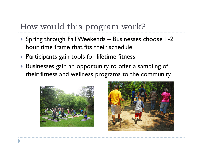#### How would this program work?

- Spring through Fall Weekends Businesses choose 1-2 hour time frame that fits their schedule
- **Participants gain tools for lifetime fitness**
- $\blacktriangleright$  Businesses gain an opportunity to offer a sampling of their fitness and wellness programs to the community



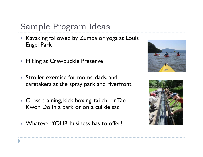# Sample Program Ideas

- $\blacktriangleright$  Kayaking followed by Zumba or yoga at Louis . Engel Park
- $\blacktriangleright$  Hiking at Crawbuckie Preserve
- Stroller exercise for moms, dads, and caretakers at the spray park and riverfront
- Cross training, kick boxing, tai chi or Tae Kwon Do in a park or on a cul de sac
- Whatever YOUR business has to offer!



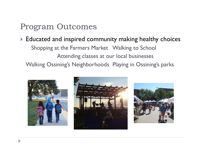#### Program Outcomes

#### $\blacktriangleright$  Educated and inspired community making healthy choices Shopping at the Farmers Market Walking to School Attending classes at our local businesses Walking Ossining's Neighborhoods Playing in Ossining's parks





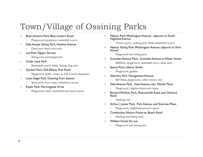# Town/Village of Ossining Parks

#### $\blacktriangleright$ Buck Johnson Park, Blue Lantern Road

- Þ Playground equipment, basketball courts
- $\blacktriangleright$  Sally Swope Sitting Park, Hawkes Avenue
	- Þ Open park space and trails
- $\blacktriangleright$  Litt Park, Tappan Terrace
	- Þ Sitting area and playground
- $\blacktriangleright$ Cedar Lane Park

Þ

- Þ Basketball courts, fields, fishing, dog park
- $\blacktriangleright$  Gerlach Park, Old Albany Post Road
	- $\mathbf b$ Playground, fields, access to Old Croton Aqueduct
- $\blacktriangleright$  Louis Engel Park, Ossining Train Station
	- Þ Spray park, boat ramp, waterfront access
- $\blacktriangleright$  R yder Park, Mornin gside Drive
	- Þ Playground, fields, basketball and tennis courts
- ▶ Nelson Park, Washington Avenue, adjacent to South Highland Avenue
	- Þ Tennis courts, walking path, fields, basketball courts
- ▶ ▶ Nelson Sitting Park, Washington Avenue, adjacent to Park School
	- Þ Playground and sitting park
- Þ Snowden Avenue Park, Snowden Avenue at Water Street
	- Þ Ballfields, playground, basketball court, skate park
- ▶  $\blacktriangleright$  Sparta Park, Liberty Street
	- Þ Playground, gazebo
- ▶ Veterans Park, Naragansett Avenue
	- $\overline{\mathbf{r}}$ Ball fields, playground, roller hockey rink
- Þ Dale Avenue Park, Dale Avenue near Marble Place
- Þ yder Park, Morningside Drive waard is a general second waar of park space and park space of park space  $\mathbb P$ 
	- Þ Richard Wishnie Park, Pleasantville Road and Orchard Road
		- Þ Walking trail
	- $\mathbf b$ Arthur J. Jones Park, Park Avenue and Sherman Place
		- ¥. Playground, neighborhood park space
	- Þ Crawbuckie Nature Preserve, Beach Road
		- Þ Walking and hiking trails
	- ь William Street Tot Lot
		- Þ Playground and sitting park